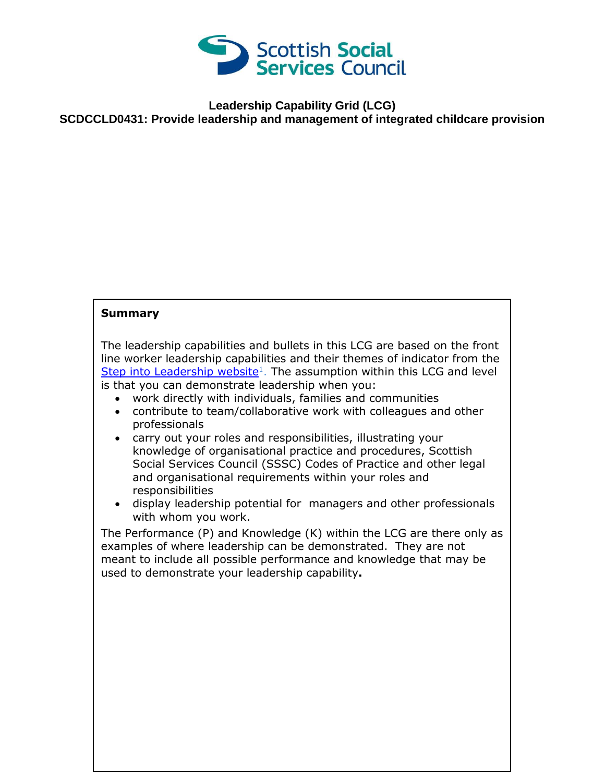

## **Leadership Capability Grid (LCG) SCDCCLD0431: Provide leadership and management of integrated childcare provision**

## **Summary**

The leadership capabilities and bullets in this LCG are based on the front line worker leadership capabilities and their themes of indicator from the [Step into Leadership website](http://www.stepintoleadership.info/)<sup>1</sup>. The assumption within this LCG and level is that you can demonstrate leadership when you:

- work directly with individuals, families and communities
- contribute to team/collaborative work with colleagues and other professionals
- carry out your roles and responsibilities, illustrating your knowledge of organisational practice and procedures, Scottish Social Services Council (SSSC) Codes of Practice and other legal and organisational requirements within your roles and responsibilities
- display leadership potential for managers and other professionals with whom you work.

The Performance (P) and Knowledge (K) within the LCG are there only as examples of where leadership can be demonstrated. They are not meant to include all possible performance and knowledge that may be used to demonstrate your leadership capability**.**